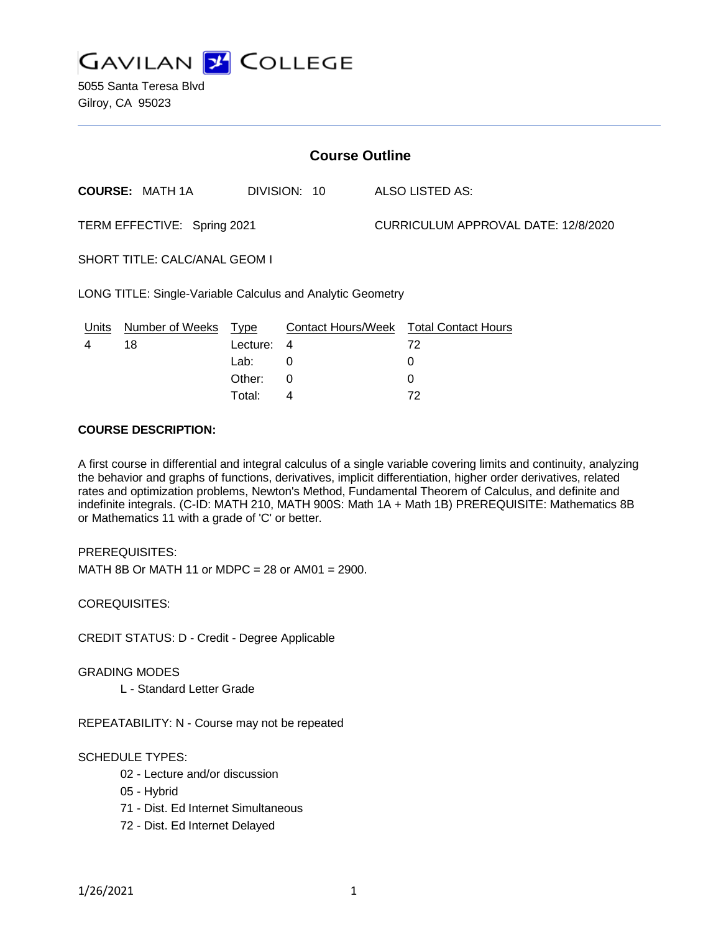

5055 Santa Teresa Blvd Gilroy, CA 95023

| <b>Course Outline</b>                                      |                        |          |              |                                     |                                        |
|------------------------------------------------------------|------------------------|----------|--------------|-------------------------------------|----------------------------------------|
|                                                            | <b>COURSE: MATH 1A</b> |          | DIVISION: 10 |                                     | ALSO LISTED AS:                        |
| TERM EFFECTIVE: Spring 2021                                |                        |          |              | CURRICULUM APPROVAL DATE: 12/8/2020 |                                        |
| SHORT TITLE: CALC/ANAL GEOM I                              |                        |          |              |                                     |                                        |
| LONG TITLE: Single-Variable Calculus and Analytic Geometry |                        |          |              |                                     |                                        |
| Units                                                      | Number of Weeks Type   |          |              |                                     | Contact Hours/Week Total Contact Hours |
| 4                                                          | 18                     | Lecture: | 4            |                                     | 72                                     |
|                                                            |                        | Lab:     | 0            |                                     | 0                                      |
|                                                            |                        | Other:   | 0            |                                     | 0                                      |
|                                                            |                        | Total:   | 4            |                                     | 72                                     |

#### **COURSE DESCRIPTION:**

A first course in differential and integral calculus of a single variable covering limits and continuity, analyzing the behavior and graphs of functions, derivatives, implicit differentiation, higher order derivatives, related rates and optimization problems, Newton's Method, Fundamental Theorem of Calculus, and definite and indefinite integrals. (C-ID: MATH 210, MATH 900S: Math 1A + Math 1B) PREREQUISITE: Mathematics 8B or Mathematics 11 with a grade of 'C' or better.

PREREQUISITES:

MATH 8B Or MATH 11 or MDPC = 28 or AM01 = 2900.

COREQUISITES:

CREDIT STATUS: D - Credit - Degree Applicable

GRADING MODES

L - Standard Letter Grade

REPEATABILITY: N - Course may not be repeated

# SCHEDULE TYPES:

- 02 Lecture and/or discussion
- 05 Hybrid
- 71 Dist. Ed Internet Simultaneous
- 72 Dist. Ed Internet Delayed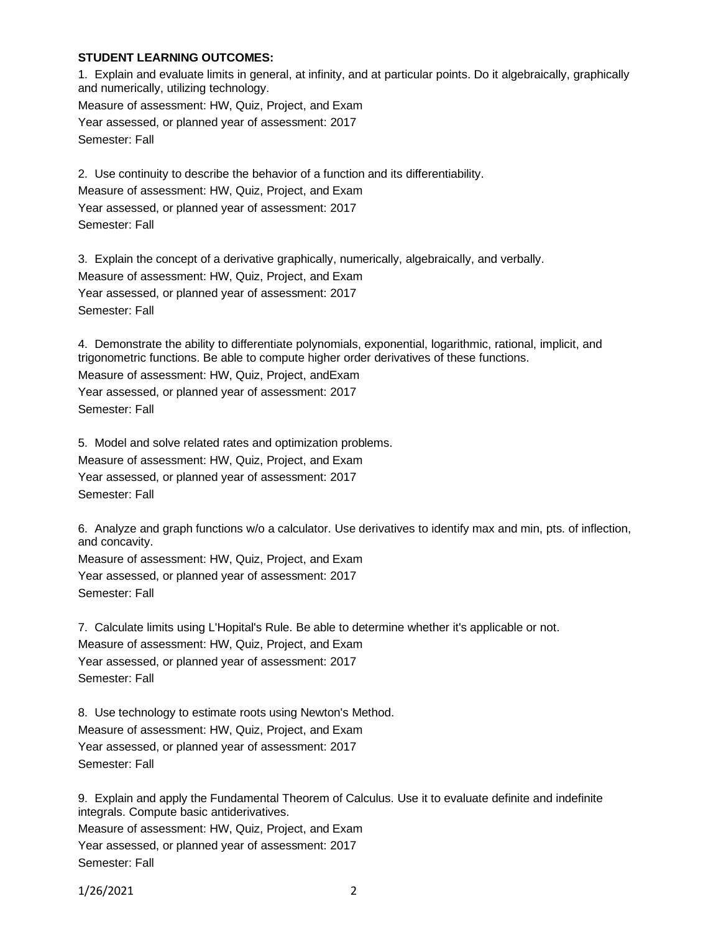#### **STUDENT LEARNING OUTCOMES:**

1. Explain and evaluate limits in general, at infinity, and at particular points. Do it algebraically, graphically and numerically, utilizing technology. Measure of assessment: HW, Quiz, Project, and Exam Year assessed, or planned year of assessment: 2017 Semester: Fall

2. Use continuity to describe the behavior of a function and its differentiability. Measure of assessment: HW, Quiz, Project, and Exam Year assessed, or planned year of assessment: 2017 Semester: Fall

3. Explain the concept of a derivative graphically, numerically, algebraically, and verbally. Measure of assessment: HW, Quiz, Project, and Exam Year assessed, or planned year of assessment: 2017 Semester: Fall

4. Demonstrate the ability to differentiate polynomials, exponential, logarithmic, rational, implicit, and trigonometric functions. Be able to compute higher order derivatives of these functions.

Measure of assessment: HW, Quiz, Project, andExam Year assessed, or planned year of assessment: 2017 Semester: Fall

5. Model and solve related rates and optimization problems. Measure of assessment: HW, Quiz, Project, and Exam Year assessed, or planned year of assessment: 2017 Semester: Fall

6. Analyze and graph functions w/o a calculator. Use derivatives to identify max and min, pts. of inflection, and concavity.

Measure of assessment: HW, Quiz, Project, and Exam Year assessed, or planned year of assessment: 2017 Semester: Fall

7. Calculate limits using L'Hopital's Rule. Be able to determine whether it's applicable or not. Measure of assessment: HW, Quiz, Project, and Exam Year assessed, or planned year of assessment: 2017 Semester: Fall

8. Use technology to estimate roots using Newton's Method. Measure of assessment: HW, Quiz, Project, and Exam Year assessed, or planned year of assessment: 2017 Semester: Fall

9. Explain and apply the Fundamental Theorem of Calculus. Use it to evaluate definite and indefinite integrals. Compute basic antiderivatives.

Measure of assessment: HW, Quiz, Project, and Exam Year assessed, or planned year of assessment: 2017 Semester: Fall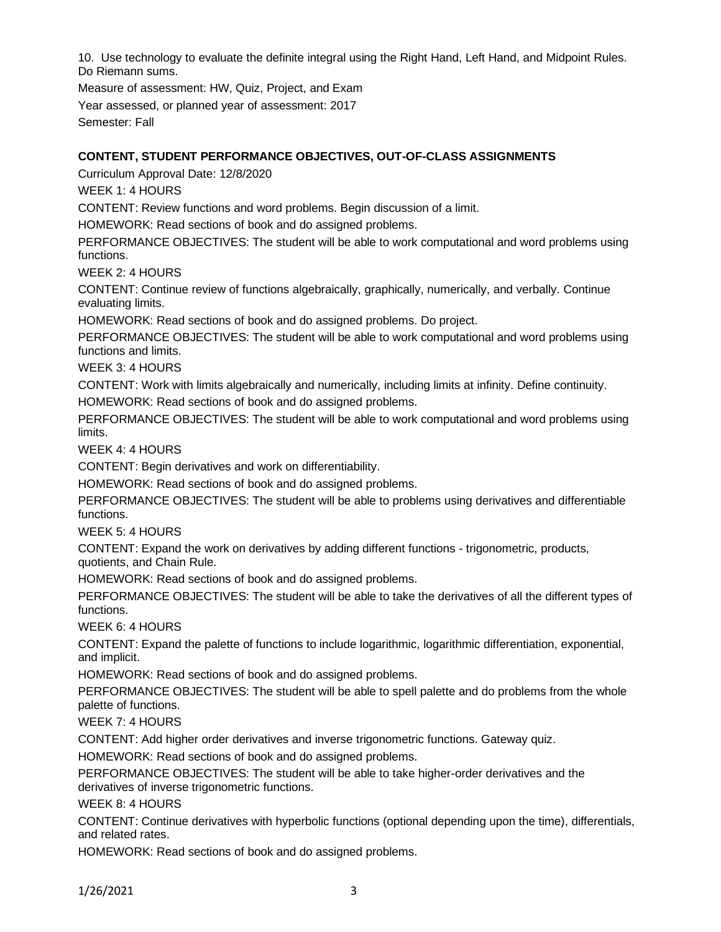10. Use technology to evaluate the definite integral using the Right Hand, Left Hand, and Midpoint Rules. Do Riemann sums.

Measure of assessment: HW, Quiz, Project, and Exam Year assessed, or planned year of assessment: 2017 Semester: Fall

# **CONTENT, STUDENT PERFORMANCE OBJECTIVES, OUT-OF-CLASS ASSIGNMENTS**

Curriculum Approval Date: 12/8/2020

WEEK 1: 4 HOURS

CONTENT: Review functions and word problems. Begin discussion of a limit.

HOMEWORK: Read sections of book and do assigned problems.

PERFORMANCE OBJECTIVES: The student will be able to work computational and word problems using functions.

WEEK 2: 4 HOURS

CONTENT: Continue review of functions algebraically, graphically, numerically, and verbally. Continue evaluating limits.

HOMEWORK: Read sections of book and do assigned problems. Do project.

PERFORMANCE OBJECTIVES: The student will be able to work computational and word problems using functions and limits.

WEEK 3: 4 HOURS

CONTENT: Work with limits algebraically and numerically, including limits at infinity. Define continuity. HOMEWORK: Read sections of book and do assigned problems.

PERFORMANCE OBJECTIVES: The student will be able to work computational and word problems using limits.

WEEK 4: 4 HOURS

CONTENT: Begin derivatives and work on differentiability.

HOMEWORK: Read sections of book and do assigned problems.

PERFORMANCE OBJECTIVES: The student will be able to problems using derivatives and differentiable functions.

WEEK 5: 4 HOURS

CONTENT: Expand the work on derivatives by adding different functions - trigonometric, products, quotients, and Chain Rule.

HOMEWORK: Read sections of book and do assigned problems.

PERFORMANCE OBJECTIVES: The student will be able to take the derivatives of all the different types of functions.

WEEK 6: 4 HOURS

CONTENT: Expand the palette of functions to include logarithmic, logarithmic differentiation, exponential, and implicit.

HOMEWORK: Read sections of book and do assigned problems.

PERFORMANCE OBJECTIVES: The student will be able to spell palette and do problems from the whole palette of functions.

WEEK 7: 4 HOURS

CONTENT: Add higher order derivatives and inverse trigonometric functions. Gateway quiz.

HOMEWORK: Read sections of book and do assigned problems.

PERFORMANCE OBJECTIVES: The student will be able to take higher-order derivatives and the derivatives of inverse trigonometric functions.

WEEK 8: 4 HOURS

CONTENT: Continue derivatives with hyperbolic functions (optional depending upon the time), differentials, and related rates.

HOMEWORK: Read sections of book and do assigned problems.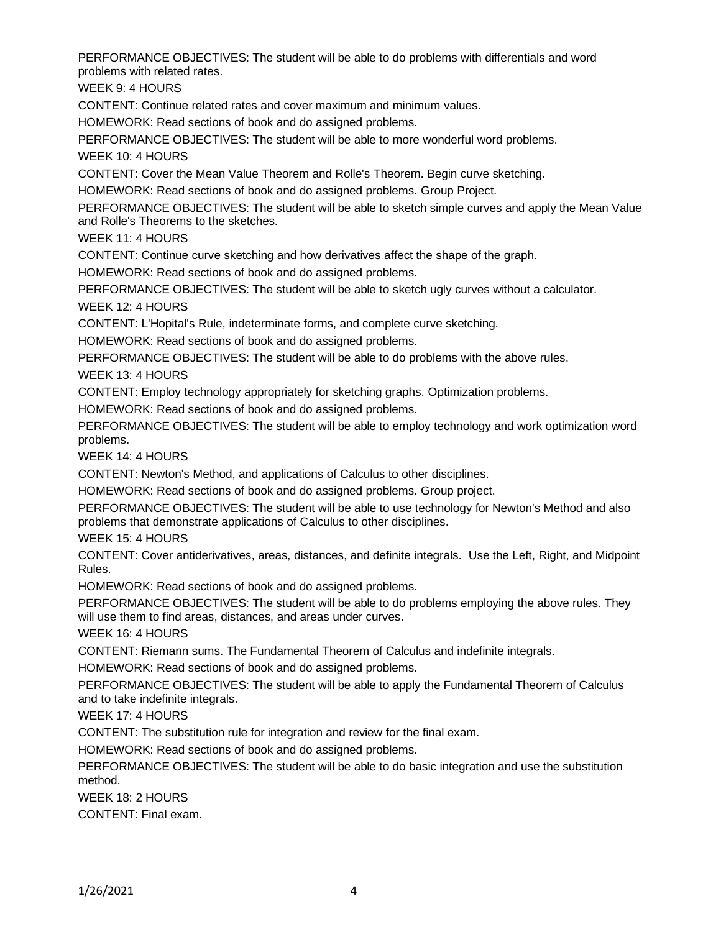PERFORMANCE OBJECTIVES: The student will be able to do problems with differentials and word problems with related rates.

WEEK 9: 4 HOURS

CONTENT: Continue related rates and cover maximum and minimum values.

HOMEWORK: Read sections of book and do assigned problems.

PERFORMANCE OBJECTIVES: The student will be able to more wonderful word problems.

WEEK 10: 4 HOURS

CONTENT: Cover the Mean Value Theorem and Rolle's Theorem. Begin curve sketching.

HOMEWORK: Read sections of book and do assigned problems. Group Project.

PERFORMANCE OBJECTIVES: The student will be able to sketch simple curves and apply the Mean Value and Rolle's Theorems to the sketches.

WEEK 11: 4 HOURS

CONTENT: Continue curve sketching and how derivatives affect the shape of the graph.

HOMEWORK: Read sections of book and do assigned problems.

PERFORMANCE OBJECTIVES: The student will be able to sketch ugly curves without a calculator. WEEK 12: 4 HOURS

CONTENT: L'Hopital's Rule, indeterminate forms, and complete curve sketching.

HOMEWORK: Read sections of book and do assigned problems.

PERFORMANCE OBJECTIVES: The student will be able to do problems with the above rules.

WEEK 13: 4 HOURS

CONTENT: Employ technology appropriately for sketching graphs. Optimization problems.

HOMEWORK: Read sections of book and do assigned problems.

PERFORMANCE OBJECTIVES: The student will be able to employ technology and work optimization word problems.

WEEK 14: 4 HOURS

CONTENT: Newton's Method, and applications of Calculus to other disciplines.

HOMEWORK: Read sections of book and do assigned problems. Group project.

PERFORMANCE OBJECTIVES: The student will be able to use technology for Newton's Method and also problems that demonstrate applications of Calculus to other disciplines.

WEEK 15: 4 HOURS

CONTENT: Cover antiderivatives, areas, distances, and definite integrals. Use the Left, Right, and Midpoint Rules.

HOMEWORK: Read sections of book and do assigned problems.

PERFORMANCE OBJECTIVES: The student will be able to do problems employing the above rules. They will use them to find areas, distances, and areas under curves.

WEEK 16: 4 HOURS

CONTENT: Riemann sums. The Fundamental Theorem of Calculus and indefinite integrals.

HOMEWORK: Read sections of book and do assigned problems.

PERFORMANCE OBJECTIVES: The student will be able to apply the Fundamental Theorem of Calculus and to take indefinite integrals.

WEEK 17: 4 HOURS

CONTENT: The substitution rule for integration and review for the final exam.

HOMEWORK: Read sections of book and do assigned problems.

PERFORMANCE OBJECTIVES: The student will be able to do basic integration and use the substitution method.

WEEK 18: 2 HOURS

CONTENT: Final exam.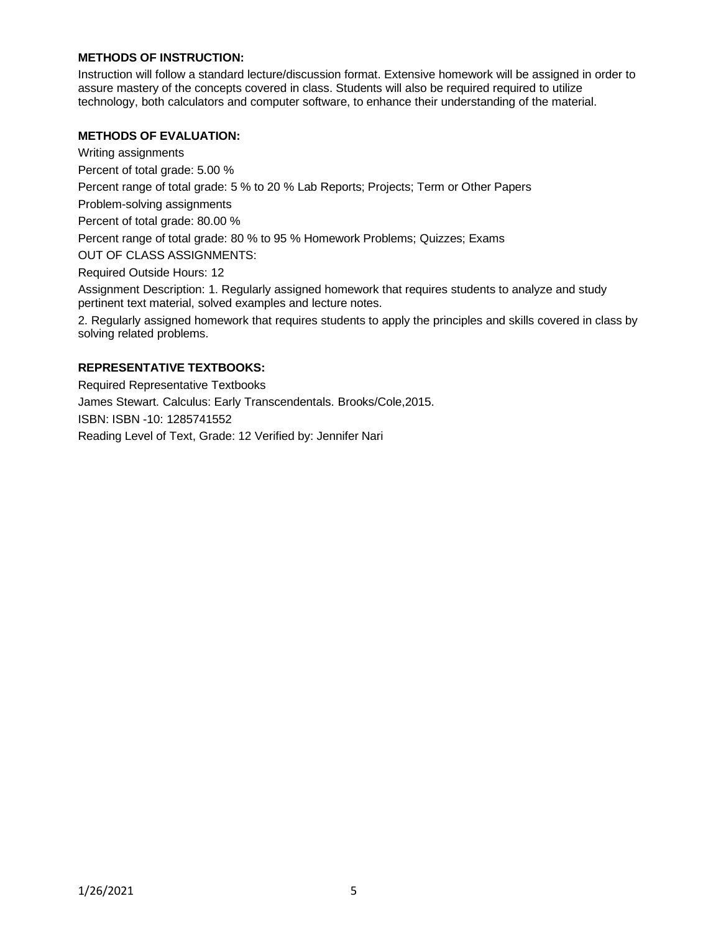# **METHODS OF INSTRUCTION:**

Instruction will follow a standard lecture/discussion format. Extensive homework will be assigned in order to assure mastery of the concepts covered in class. Students will also be required required to utilize technology, both calculators and computer software, to enhance their understanding of the material.

#### **METHODS OF EVALUATION:**

Writing assignments

Percent of total grade: 5.00 %

Percent range of total grade: 5 % to 20 % Lab Reports; Projects; Term or Other Papers

Problem-solving assignments

Percent of total grade: 80.00 %

Percent range of total grade: 80 % to 95 % Homework Problems; Quizzes; Exams

OUT OF CLASS ASSIGNMENTS:

Required Outside Hours: 12

Assignment Description: 1. Regularly assigned homework that requires students to analyze and study pertinent text material, solved examples and lecture notes.

2. Regularly assigned homework that requires students to apply the principles and skills covered in class by solving related problems.

# **REPRESENTATIVE TEXTBOOKS:**

Required Representative Textbooks James Stewart. Calculus: Early Transcendentals. Brooks/Cole,2015. ISBN: ISBN -10: 1285741552 Reading Level of Text, Grade: 12 Verified by: Jennifer Nari